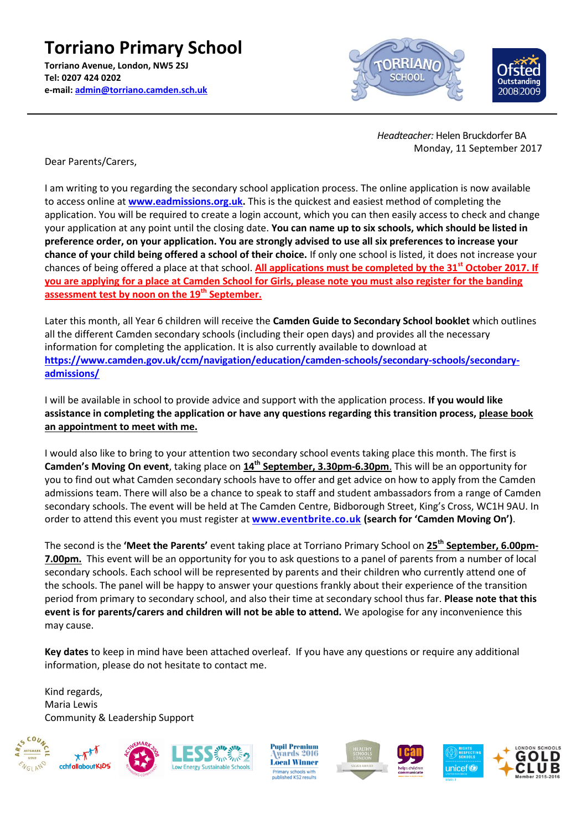**Torriano Primary School Torriano Avenue, London, NW5 2SJ Tel: 0207 424 0202 e-mail: [admin@torriano.camden.sch.uk](mailto:admin@torriano.camden.sch.uk)**





Dear Parents/Carers,

I am writing to you regarding the secondary school application process. The online application is now available to access online at **[www.eadmissions.org.uk.](http://www.eadmissions.org.uk/)** This is the quickest and easiest method of completing the application. You will be required to create a login account, which you can then easily access to check and change your application at any point until the closing date. **You can name up to six schools, which should be listed in preference order, on your application. You are strongly advised to use all six preferences to increase your chance of your child being offered a school of their choice.** If only one school is listed, it does not increase your chances of being offered a place at that school. **All applications must be completed by the 31st October 2017. If you are applying for a place at Camden School for Girls, please note you must also register for the banding assessment test by noon on the 19th September.**

Later this month, all Year 6 children will receive the **Camden Guide to Secondary School booklet** which outlines all the different Camden secondary schools (including their open days) and provides all the necessary information for completing the application. It is also currently available to download at **[https://www.camden.gov.uk/ccm/navigation/education/camden-schools/secondary-schools/secondary](https://www.camden.gov.uk/ccm/navigation/education/camden-schools/secondary-schools/secondary-admissions/)[admissions/](https://www.camden.gov.uk/ccm/navigation/education/camden-schools/secondary-schools/secondary-admissions/)**

I will be available in school to provide advice and support with the application process. **If you would like assistance in completing the application or have any questions regarding this transition process, please book an appointment to meet with me.** 

I would also like to bring to your attention two secondary school events taking place this month. The first is **Camden's Moving On event**, taking place on  $14<sup>th</sup>$  **September, 3.30pm-6.30pm**. This will be an opportunity for you to find out what Camden secondary schools have to offer and get advice on how to apply from the Camden admissions team. There will also be a chance to speak to staff and student ambassadors from a range of Camden secondary schools. The event will be held at The Camden Centre, Bidborough Street, King's Cross, WC1H 9AU. In order to attend this event you must register at **[www.eventbrite.co.uk](http://www.eventbrite.co.uk/) (search for 'Camden Moving On')**.

The second is the **'Meet the Parents'** event taking place at Torriano Primary School on **25th September, 6.00pm-7.00pm.** This event will be an opportunity for you to ask questions to a panel of parents from a number of local secondary schools. Each school will be represented by parents and their children who currently attend one of the schools. The panel will be happy to answer your questions frankly about their experience of the transition period from primary to secondary school, and also their time at secondary school thus far. **Please note that this event is for parents/carers and children will not be able to attend.** We apologise for any inconvenience this may cause.

**Key dates** to keep in mind have been attached overleaf. If you have any questions or require any additional information, please do not hesitate to contact me.

Kind regards, Maria Lewis Community & Leadership Support



**Pupil Premium** wards 2016 **Local Winner** ry schools with<br>hed KS2 results







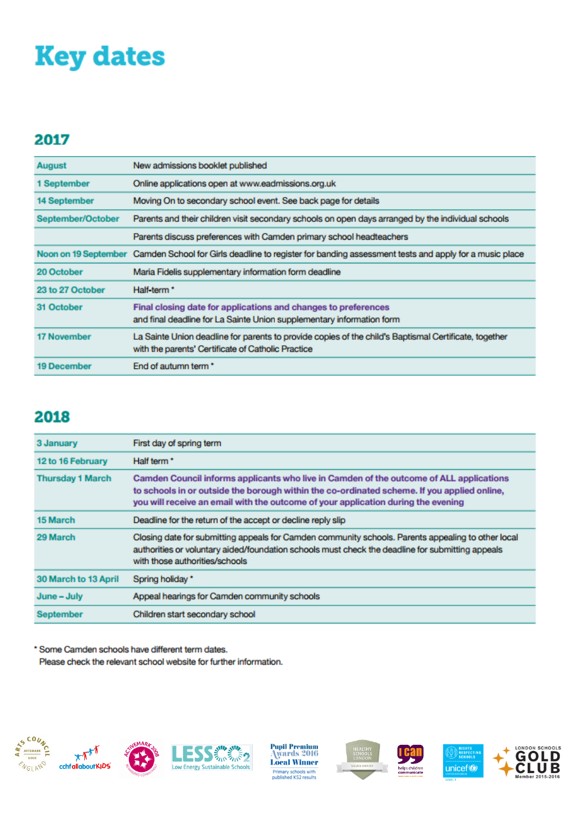## **Key dates**

#### 2017

| August               | New admissions booklet published                                                                                                                            |  |  |
|----------------------|-------------------------------------------------------------------------------------------------------------------------------------------------------------|--|--|
| 1 September          | Online applications open at www.eadmissions.org.uk                                                                                                          |  |  |
| 14 September         | Moving On to secondary school event. See back page for details                                                                                              |  |  |
| September/October    | Parents and their children visit secondary schools on open days arranged by the individual schools                                                          |  |  |
|                      | Parents discuss preferences with Camden primary school headteachers                                                                                         |  |  |
| Noon on 19 September | Camden School for Girls deadline to register for banding assessment tests and apply for a music place                                                       |  |  |
| 20 October           | Maria Fidelis supplementary information form deadline                                                                                                       |  |  |
| 23 to 27 October     | Half-term <sup>*</sup>                                                                                                                                      |  |  |
| 31 October           | Final closing date for applications and changes to preferences<br>and final deadline for La Sainte Union supplementary information form                     |  |  |
| <b>17 November</b>   | La Sainte Union deadline for parents to provide copies of the child's Baptismal Certificate, together<br>with the parents' Certificate of Catholic Practice |  |  |
| <b>19 December</b>   | End of autumn term *                                                                                                                                        |  |  |

### 2018

| 3 January                   | First day of spring term                                                                                                                                                                                                                                                    |  |  |
|-----------------------------|-----------------------------------------------------------------------------------------------------------------------------------------------------------------------------------------------------------------------------------------------------------------------------|--|--|
| 12 to 16 February           | Half term <sup>*</sup>                                                                                                                                                                                                                                                      |  |  |
| <b>Thursday 1 March</b>     | Camden Council informs applicants who live in Camden of the outcome of ALL applications<br>to schools in or outside the borough within the co-ordinated scheme. If you applied online,<br>you will receive an email with the outcome of your application during the evening |  |  |
| 15 March                    | Deadline for the return of the accept or decline reply slip                                                                                                                                                                                                                 |  |  |
| 29 March                    | Closing date for submitting appeals for Camden community schools. Parents appealing to other local<br>authorities or voluntary aided/foundation schools must check the deadline for submitting appeals<br>with those authorities/schools                                    |  |  |
| <b>30 March to 13 April</b> | Spring holiday*                                                                                                                                                                                                                                                             |  |  |
| June - July                 | Appeal hearings for Camden community schools                                                                                                                                                                                                                                |  |  |
| <b>September</b>            | Children start secondary school                                                                                                                                                                                                                                             |  |  |

\* Some Camden schools have different term dates.

Please check the relevant school website for further information.









**Pupil Premium<br>Awards 2016 Local Winner Primary schools with<br>published KS2 results** 



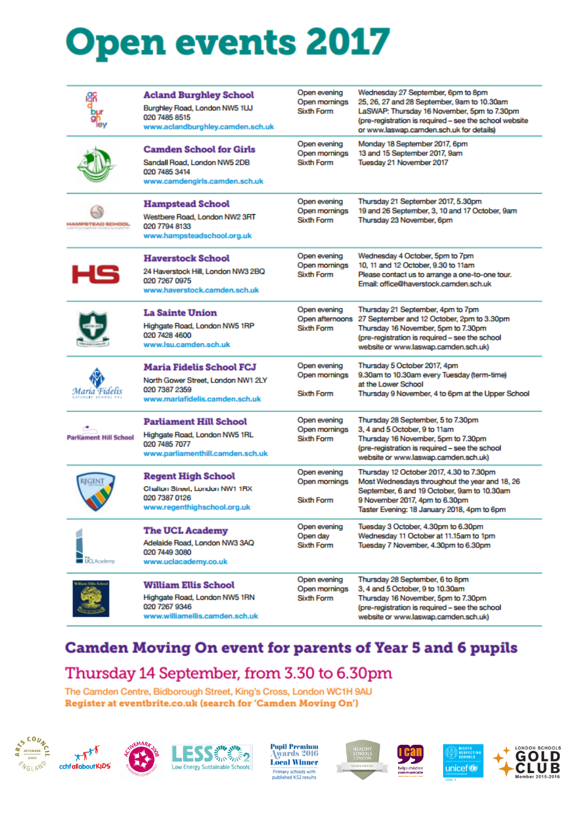# **Open events 2017**

|                              | <b>Acland Burghley School</b><br>Burghley Road, London NW5 1UJ<br>020 7485 8515<br>www.aclandburghley.camden.sch.uk      | Open evening<br>Open mornings<br>Sixth Form   | Wednesday 27 September, 6pm to 8pm<br>25, 26, 27 and 28 September, 9am to 10.30am<br>LaSWAP: Thursday 16 November, 5pm to 7.30pm<br>(pre-registration is required - see the school website<br>or www.laswap.camden.sch.uk for details) |
|------------------------------|--------------------------------------------------------------------------------------------------------------------------|-----------------------------------------------|----------------------------------------------------------------------------------------------------------------------------------------------------------------------------------------------------------------------------------------|
|                              | <b>Camden School for Girls</b><br>Sandall Road, London NW5 2DB<br>020 7485 3414<br>www.camdengirls.camden.sch.uk         | Open evening<br>Open mornings<br>Sixth Form   | Monday 18 September 2017, 6pm<br>13 and 15 September 2017, 9am<br>Tuesday 21 November 2017                                                                                                                                             |
| HAMPSTEAD SCHOOL             | <b>Hampstead School</b><br>Westbere Road, London NW2 3RT<br>020 7794 8133<br>www.hampsteadschool.org.uk                  | Open evening<br>Open mornings<br>Sixth Form   | Thursday 21 September 2017, 5.30pm<br>19 and 26 September, 3, 10 and 17 October, 9am<br>Thursday 23 November, 6pm                                                                                                                      |
| нs                           | <b>Haverstock School</b><br>24 Haverstock Hill, London NW3 2BQ<br>020 7267 0975<br>www.haverstock.camden.sch.uk          | Open evening<br>Open mornings<br>Sixth Form   | Wednesday 4 October, 5pm to 7pm<br>10, 11 and 12 October, 9.30 to 11am<br>Please contact us to arrange a one-to-one tour.<br>Email: office@haverstock.camden.sch.uk                                                                    |
|                              | <b>La Sainte Union</b><br>Highgate Road, London NW5 1RP<br>020 7428 4600<br>www.lsu.camden.sch.uk                        | Open evening<br>Open afternoons<br>Sixth Form | Thursday 21 September, 4pm to 7pm<br>27 September and 12 October, 2pm to 3.30pm<br>Thursday 16 November, 5pm to 7.30pm<br>(pre-registration is required - see the school<br>website or www.laswap.camden.sch.uk)                       |
| Maria Fidelis                | <b>Maria Fidelis School FCJ</b><br>North Gower Street, London NW1 2LY<br>020 7387 2359<br>www.mariafidelis.camden.sch.uk | Open evening<br>Open mornings<br>Sixth Form   | Thursday 5 October 2017, 4pm<br>9.30am to 10.30am every Tuesday (term-time)<br>at the Lower School<br>Thursday 9 November, 4 to 6pm at the Upper School                                                                                |
| <b>Parkament Hill School</b> | Parliament Hill School<br>Highgate Road, London NW5 1RL<br>020 7485 7077<br>www.parliamenthill.camden.sch.uk             | Open evening<br>Open mornings<br>Sixth Form   | Thursday 28 September, 5 to 7.30pm<br>3, 4 and 5 October, 9 to 11am<br>Thursday 16 November, 5pm to 7.30pm<br>(pre-registration is required - see the school<br>website or www.laswap.camden.sch.uk)                                   |
|                              | <b>Regent High School</b><br>Chalton Street, London NW1 1RX<br>020 7387 0126<br>www.regenthighschool.org.uk              | Open evening<br>Open mornings<br>Sixth Form   | Thursday 12 October 2017, 4.30 to 7.30pm<br>Most Wednesdays throughout the year and 18, 26<br>September, 6 and 19 October, 9am to 10.30am<br>9 November 2017, 4pm to 6.30pm<br>Taster Evening: 18 January 2018, 4pm to 6pm             |
| <b>UCLAcademy</b>            | <b>The UCL Academy</b><br>Adelaide Road, London NW3 3AQ<br>020 7449 3080<br>www.uclacademy.co.uk                         | Open evening<br>Open day<br>Sixth Form        | Tuesday 3 October, 4.30pm to 6.30pm<br>Wednesday 11 October at 11.15am to 1pm<br>Tuesday 7 November, 4.30pm to 6.30pm                                                                                                                  |
|                              | William Ellis School<br>Highgate Road, London NW5 1RN<br>020 7267 9346<br>www.williamellis.camden.sch.uk                 | Open evening<br>Open mornings<br>Sixth Form   | Thursday 28 September, 6 to 8pm<br>3, 4 and 5 October, 9 to 10.30am<br>Thursday 16 November, 5pm to 7.30pm<br>(pre-registration is required - see the school<br>website or www.laswap.camden.sch.uk)                                   |

#### **Camden Moving On event for parents of Year 5 and 6 pupils**

#### Thursday 14 September, from 3.30 to 6.30pm

The Camden Centre, Bidborough Street, King's Cross, London WC1H 9AU Register at eventbrite.co.uk (search for 'Camden Moving On')







Pupil Premium<br>Awards 2016 **Local Winner Primary schools with<br>published KS2 results**